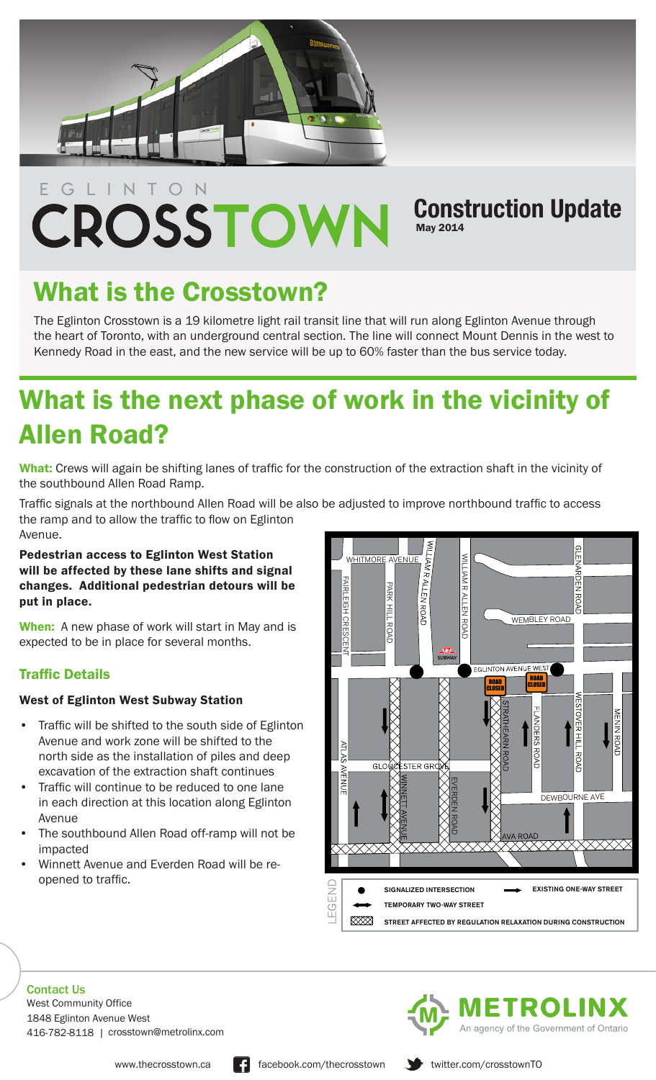

## EGLINTON CROSSTOWN

### **Construction Update** May 2014

# What is the Crosstown?

The Eglinton Crosstown is a 19 kilometre light rail transit line that will run along Eglinton Avenue through the heart of Toronto, with an underground central section. The line will connect Mount Dennis in the west to Kennedy Road in the east, and the new service will be up to 60% faster than the bus service today.

## What is the next phase of work in the vicinity of Allen Road?

What: Crews will again be shifting lanes of traffic for the construction of the extraction shaft in the vicinity of the southbound Allen Road Ramp.

Traffic signals at the northbound Allen Road will be also be adjusted to improve northbound traffic to access the ramp and to allow the traffic to flow on Eglinton Avenue.

Pedestrian access to Eglinton West Station will be affected by these lane shifts and signal changes. Additional pedestrian detours will be put in place.

When: A new phase of work will start in May and is expected to be in place for several months.

#### Traffic Details

#### West of Eglinton West Subway Station

- Traffic will be shifted to the south side of Eglinton Avenue and work zone will be shifted to the north side as the installation of piles and deep excavation of the extraction shaft continues
- Traffic will continue to be reduced to one lane in each direction at this location along Eglinton Avenue
- The southbound Allen Road off-ramp will not be impacted
- Winnett Avenue and Everden Road will be reopened to traffic.



Contact Us 1848 Eglinton Avenue West 416-782-8118 | crosstown@metrolinx.com West Community Office